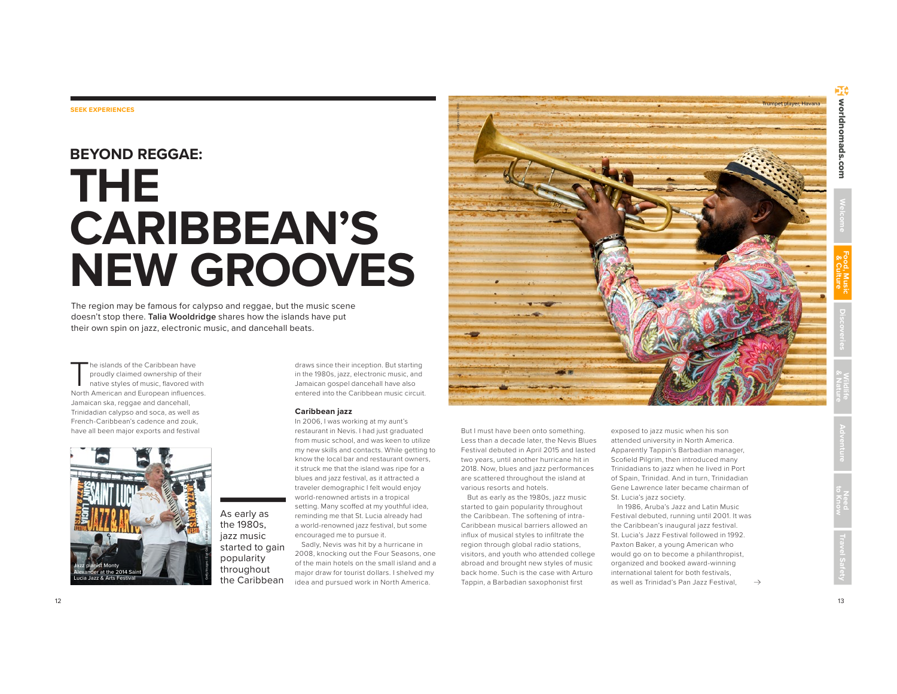# **Food, Music & Culture Welcome**

#### **SEEK EXPERIENCES**

## **BEYOND REGGAE: THE CARIBBEAN'S NEW GROOVES**

The region may be famous for calypso and reggae, but the music scene doesn't stop there. **Talia Wooldridge** shares how the islands have put their own spin on jazz, electronic music, and dancehall beats.

The islands of the Caribbean have proudly claimed ownership of their native styles of music, flavored with North American and European influences. Jamaican ska, reggae and dancehall, Trinidadian calypso and soca, as well as French-Caribbean's cadence and zouk, have all been major exports and festival



As early as the 1980s, jazz music started to gain popularity throughout the Caribbean

draws since their inception. But starting in the 1980s, jazz, electronic music, and Jamaican gospel dancehall have also entered into the Caribbean music circuit.

#### **Caribbean jazz**

In 2006, I was working at my aunt's restaurant in Nevis. I had just graduated from music school, and was keen to utilize my new skills and contacts. While getting to know the local bar and restaurant owners, it struck me that the island was ripe for a blues and jazz festival, as it attracted a traveler demographic I felt would enjoy world-renowned artists in a tropical setting. Many scoffed at my youthful idea, reminding me that St. Lucia already had a world-renowned jazz festival, but some encouraged me to pursue it.

Sadly, Nevis was hit by a hurricane in 2008, knocking out the Four Seasons, one of the main hotels on the small island and a major draw for tourist dollars. I shelved my idea and pursued work in North America.



Trumpet player, Havana<br>Geographic Images / Biographic Images / Biographic Images / Biographic Images / Biographic Images / Biographic<br>State of the State of the State of the State of the State of the State of the State of t

2018. Now, blues and jazz performances are scattered throughout the island at various resorts and hotels.

But as early as the 1980s, jazz music started to gain popularity throughout the Caribbean. The softening of intra-Caribbean musical barriers allowed an influx of musical styles to infiltrate the region through global radio stations, visitors, and youth who attended college abroad and brought new styles of music back home. Such is the case with Arturo Tappin, a Barbadian saxophonist first

exposed to jazz music when his son attended university in North America. Apparently Tappin's Barbadian manager, Scofield Pilgrim, then introduced many Trinidadians to jazz when he lived in Port of Spain, Trinidad. And in turn, Trinidadian Gene Lawrence later became chairman of St. Lucia's jazz society.

In 1986, Aruba's Jazz and Latin Music Festival debuted, running until 2001. It was the Caribbean's inaugural jazz festival. St. Lucia's Jazz Festival followed in 1992. Paxton Baker, a young American who would go on to become a philanthropist, organized and booked award-winning international talent for both festivals, as well as Trinidad's Pan Jazz Festival,